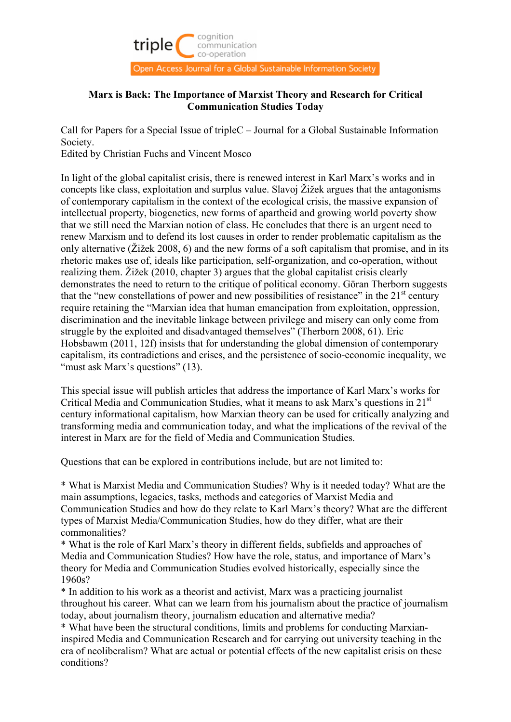

# **Marx is Back: The Importance of Marxist Theory and Research for Critical Communication Studies Today**

Call for Papers for a Special Issue of tripleC – Journal for a Global Sustainable Information Society.

Edited by Christian Fuchs and Vincent Mosco

In light of the global capitalist crisis, there is renewed interest in Karl Marx's works and in concepts like class, exploitation and surplus value. Slavoj Žižek argues that the antagonisms of contemporary capitalism in the context of the ecological crisis, the massive expansion of intellectual property, biogenetics, new forms of apartheid and growing world poverty show that we still need the Marxian notion of class. He concludes that there is an urgent need to renew Marxism and to defend its lost causes in order to render problematic capitalism as the only alternative ( $\angle$ ižek 2008, 6) and the new forms of a soft capitalism that promise, and in its rhetoric makes use of, ideals like participation, self-organization, and co-operation, without realizing them. Žižek (2010, chapter 3) argues that the global capitalist crisis clearly demonstrates the need to return to the critique of political economy. Göran Therborn suggests that the "new constellations of power and new possibilities of resistance" in the  $21<sup>st</sup>$  century require retaining the "Marxian idea that human emancipation from exploitation, oppression, discrimination and the inevitable linkage between privilege and misery can only come from struggle by the exploited and disadvantaged themselves" (Therborn 2008, 61). Eric Hobsbawm (2011, 12f) insists that for understanding the global dimension of contemporary capitalism, its contradictions and crises, and the persistence of socio-economic inequality, we "must ask Marx's questions" (13).

This special issue will publish articles that address the importance of Karl Marx's works for Critical Media and Communication Studies, what it means to ask Marx's questions in  $21<sup>st</sup>$ century informational capitalism, how Marxian theory can be used for critically analyzing and transforming media and communication today, and what the implications of the revival of the interest in Marx are for the field of Media and Communication Studies.

Questions that can be explored in contributions include, but are not limited to:

\* What is Marxist Media and Communication Studies? Why is it needed today? What are the main assumptions, legacies, tasks, methods and categories of Marxist Media and Communication Studies and how do they relate to Karl Marx's theory? What are the different types of Marxist Media/Communication Studies, how do they differ, what are their commonalities?

\* What is the role of Karl Marx's theory in different fields, subfields and approaches of Media and Communication Studies? How have the role, status, and importance of Marx's theory for Media and Communication Studies evolved historically, especially since the 1960s?

\* In addition to his work as a theorist and activist, Marx was a practicing journalist throughout his career. What can we learn from his journalism about the practice of journalism today, about journalism theory, journalism education and alternative media?

\* What have been the structural conditions, limits and problems for conducting Marxianinspired Media and Communication Research and for carrying out university teaching in the era of neoliberalism? What are actual or potential effects of the new capitalist crisis on these conditions?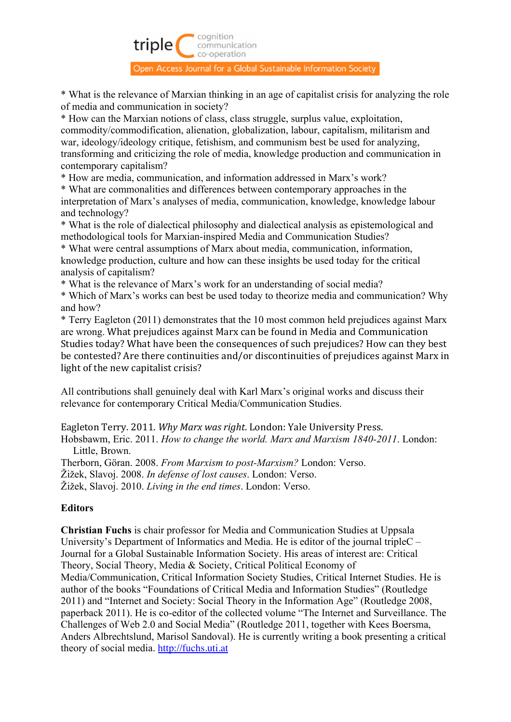

\* What is the relevance of Marxian thinking in an age of capitalist crisis for analyzing the role of media and communication in society?

\* How can the Marxian notions of class, class struggle, surplus value, exploitation, commodity/commodification, alienation, globalization, labour, capitalism, militarism and war, ideology/ideology critique, fetishism, and communism best be used for analyzing, transforming and criticizing the role of media, knowledge production and communication in contemporary capitalism?

\* How are media, communication, and information addressed in Marx's work?

\* What are commonalities and differences between contemporary approaches in the interpretation of Marx's analyses of media, communication, knowledge, knowledge labour and technology?

\* What is the role of dialectical philosophy and dialectical analysis as epistemological and methodological tools for Marxian-inspired Media and Communication Studies?

\* What were central assumptions of Marx about media, communication, information, knowledge production, culture and how can these insights be used today for the critical analysis of capitalism?

\* What is the relevance of Marx's work for an understanding of social media?

\* Which of Marx's works can best be used today to theorize media and communication? Why and how?

\* Terry Eagleton (2011) demonstrates that the 10 most common held prejudices against Marx are wrong. What prejudices against Marx can be found in Media and Communication Studies today? What have been the consequences of such prejudices? How can they best be contested? Are there continuities and/or discontinuities of prejudices against Marx in light of the new capitalist crisis?

All contributions shall genuinely deal with Karl Marx's original works and discuss their relevance for contemporary Critical Media/Communication Studies.

Eagleton Terry. 2011. *Why Marx was right*. London: Yale University Press. Hobsbawm, Eric. 2011. *How to change the world. Marx and Marxism 1840-2011*. London: Little, Brown.

Therborn, Göran. 2008. *From Marxism to post-Marxism?* London: Verso.

Žižek, Slavoj. 2008. *In defense of lost causes*. London: Verso.

Žižek, Slavoj. 2010. *Living in the end times*. London: Verso.

# **Editors**

**Christian Fuchs** is chair professor for Media and Communication Studies at Uppsala University's Department of Informatics and Media. He is editor of the journal tripleC – Journal for a Global Sustainable Information Society. His areas of interest are: Critical Theory, Social Theory, Media & Society, Critical Political Economy of Media/Communication, Critical Information Society Studies, Critical Internet Studies. He is author of the books "Foundations of Critical Media and Information Studies" (Routledge 2011) and "Internet and Society: Social Theory in the Information Age" (Routledge 2008, paperback 2011). He is co-editor of the collected volume "The Internet and Surveillance. The Challenges of Web 2.0 and Social Media" (Routledge 2011, together with Kees Boersma, Anders Albrechtslund, Marisol Sandoval). He is currently writing a book presenting a critical theory of social media. http://fuchs.uti.at